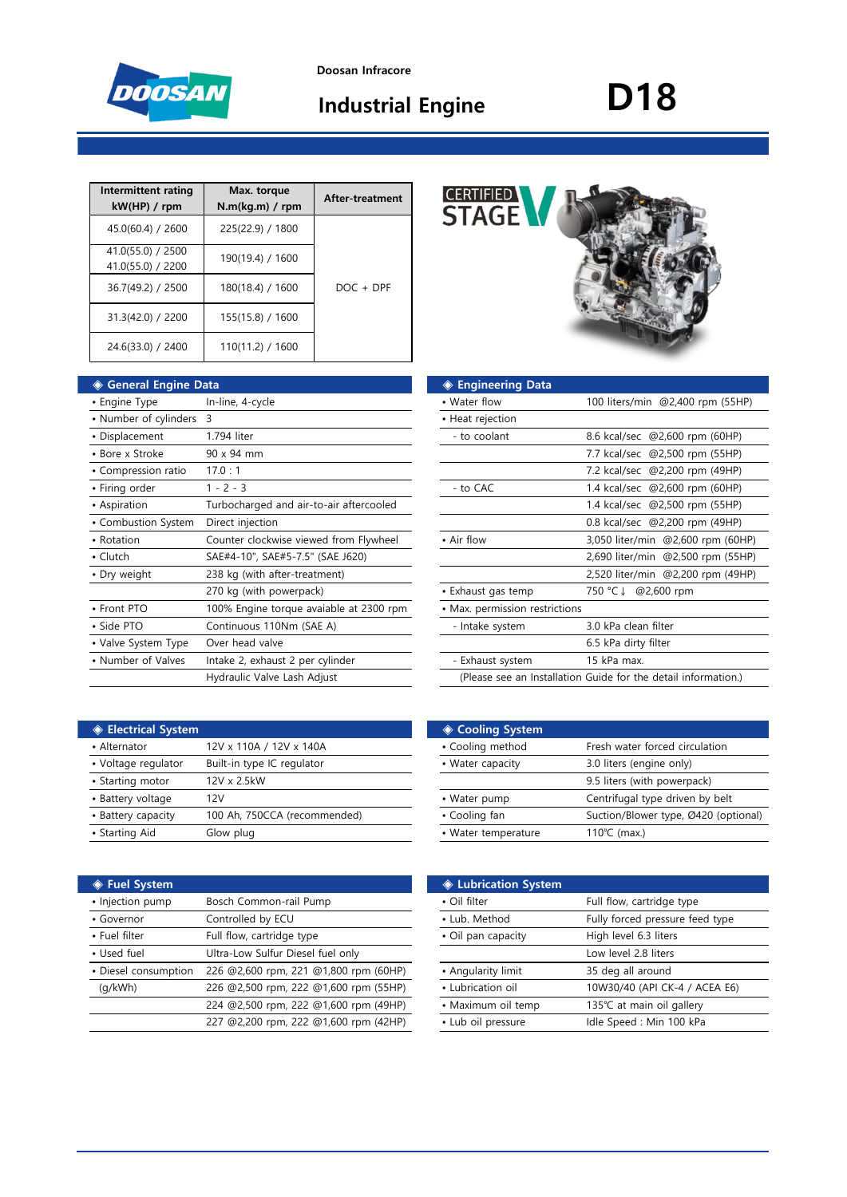

**Industrial Engine**

# **D18**

| Intermittent rating<br>kW(HP) / rpm    | Max. torque<br>N.m(kg.m) / rpm | After-treatment |
|----------------------------------------|--------------------------------|-----------------|
| 45.0(60.4) / 2600                      | 225(22.9) / 1800               |                 |
| 41.0(55.0) / 2500<br>41.0(55.0) / 2200 | 190(19.4) / 1600               |                 |
| 36.7(49.2) / 2500                      | 180(18.4) / 1600               | $DOC + DPF$     |
| 31.3(42.0) / 2200                      | 155(15.8) / 1600               |                 |
| 24.6(33.0) / 2400                      | 110(11.2) / 1600               |                 |

| ◈ General Engine Data   |                                         | ◈ Engineering Data             |                                                                |
|-------------------------|-----------------------------------------|--------------------------------|----------------------------------------------------------------|
| • Engine Type           | In-line, 4-cycle                        | • Water flow                   | 100 liters/min @2,400 rpm (55HP)                               |
| • Number of cylinders 3 |                                         | • Heat rejection               |                                                                |
| • Displacement          | 1.794 liter                             | - to coolant                   | 8.6 kcal/sec @2,600 rpm (60HP)                                 |
| • Bore x Stroke         | 90 x 94 mm                              |                                | 7.7 kcal/sec @2,500 rpm (55HP)                                 |
| • Compression ratio     | 17.0:1                                  |                                | 7.2 kcal/sec @2,200 rpm (49HP)                                 |
| • Firing order          | $1 - 2 - 3$                             | - to CAC                       | 1.4 kcal/sec @2,600 rpm (60HP)                                 |
| • Aspiration            | Turbocharged and air-to-air aftercooled |                                | 1.4 kcal/sec @2,500 rpm (55HP)                                 |
| • Combustion System     | Direct injection                        |                                | 0.8 kcal/sec @2,200 rpm (49HP)                                 |
| • Rotation              | Counter clockwise viewed from Flywheel  | • Air flow                     | 3,050 liter/min @2,600 rpm (60HP)                              |
| $\cdot$ Clutch          | SAE#4-10", SAE#5-7.5" (SAE J620)        |                                | 2,690 liter/min @2,500 rpm (55HP)                              |
| • Dry weight            | 238 kg (with after-treatment)           |                                | 2,520 liter/min @2,200 rpm (49HP)                              |
|                         | 270 kg (with powerpack)                 | • Exhaust gas temp             | 750 °C ↓ @2,600 rpm                                            |
| • Front PTO             | 100% Engine torque avaiable at 2300 rpm | • Max. permission restrictions |                                                                |
| • Side PTO              | Continuous 110Nm (SAE A)                | - Intake system                | 3.0 kPa clean filter                                           |
| • Valve System Type     | Over head valve                         |                                | 6.5 kPa dirty filter                                           |
| • Number of Valves      | Intake 2, exhaust 2 per cylinder        | - Exhaust system               | 15 kPa max.                                                    |
|                         | Hydraulic Valve Lash Adjust             |                                | (Please see an Installation Guide for the detail information.) |

| <b>CERTIFIED STAGE</b> |  |
|------------------------|--|
|                        |  |

| ıta                                     | ◈ Engineering Data             |                                                                |
|-----------------------------------------|--------------------------------|----------------------------------------------------------------|
| In-line, 4-cycle                        | • Water flow                   | 100 liters/min @2,400 rpm (55HP)                               |
| 3                                       | • Heat rejection               |                                                                |
| 1.794 liter                             | - to coolant                   | 8.6 kcal/sec @2,600 rpm (60HP)                                 |
| 90 x 94 mm                              |                                | 7.7 kcal/sec @2,500 rpm (55HP)                                 |
| 17.0:1                                  |                                | 7.2 kcal/sec @2,200 rpm (49HP)                                 |
| $1 - 2 - 3$                             | - to CAC                       | 1.4 kcal/sec @2,600 rpm (60HP)                                 |
| Turbocharged and air-to-air aftercooled |                                | 1.4 kcal/sec @2,500 rpm (55HP)                                 |
| Direct injection                        |                                | 0.8 kcal/sec @2,200 rpm (49HP)                                 |
| Counter clockwise viewed from Flywheel  | • Air flow                     | 3,050 liter/min @2,600 rpm (60HP)                              |
| SAE#4-10", SAE#5-7.5" (SAE J620)        |                                | 2,690 liter/min @2,500 rpm (55HP)                              |
| 238 kg (with after-treatment)           |                                | 2,520 liter/min @2,200 rpm (49HP)                              |
| 270 kg (with powerpack)                 | • Exhaust gas temp             | 750 °C ↓ @2,600 rpm                                            |
| 100% Engine torque avaiable at 2300 rpm | • Max. permission restrictions |                                                                |
| Continuous 110Nm (SAE A)                | - Intake system                | 3.0 kPa clean filter                                           |
| Over head valve                         |                                | 6.5 kPa dirty filter                                           |
| Intake 2, exhaust 2 per cylinder        | - Exhaust system               | 15 kPa max.                                                    |
| Hydraulic Valve Lash Adjust             |                                | (Please see an Installation Guide for the detail information.) |

| <b>♦ Electrical System</b> |                              | ◈ Cooling System    |                                 |
|----------------------------|------------------------------|---------------------|---------------------------------|
| • Alternator               | 12V x 110A / 12V x 140A      | • Cooling method    | Fresh water forced circulation  |
| • Voltage regulator        | Built-in type IC regulator   | • Water capacity    | 3.0 liters (engine only)        |
| • Starting motor           | 12V x 2.5kW                  |                     | 9.5 liters (with powerpack)     |
| • Battery voltage          | 12V                          | • Water pump        | Centrifugal type driven by belt |
| • Battery capacity         | 100 Ah, 750CCA (recommended) | • Cooling fan       | Suction/Blower type, Ø420 (op   |
| • Starting Aid             | Glow plug                    | • Water temperature | 110 $°C$ (max.)                 |

| ◈ Fuel System        |                                       | <b>♦ Lubrication System</b> |                                 |
|----------------------|---------------------------------------|-----------------------------|---------------------------------|
| • Injection pump     | Bosch Common-rail Pump                | • Oil filter                | Full flow, cartridge type       |
| • Governor           | Controlled by ECU                     | • Lub. Method               | Fully forced pressure feed type |
| • Fuel filter        | Full flow, cartridge type             | • Oil pan capacity          | High level 6.3 liters           |
| • Used fuel          | Ultra-Low Sulfur Diesel fuel only     |                             | Low level 2.8 liters            |
| • Diesel consumption | 226 @2,600 rpm, 221 @1,800 rpm (60HP) | • Angularity limit          | 35 deg all around               |
| (q/kWh)              | 226 @2,500 rpm, 222 @1,600 rpm (55HP) | • Lubrication oil           | 10W30/40 (API CK-4 / ACEA E6)   |
|                      | 224 @2,500 rpm, 222 @1,600 rpm (49HP) | • Maximum oil temp          | 135℃ at main oil gallery        |
|                      | 227 @2,200 rpm, 222 @1,600 rpm (42HP) | • Lub oil pressure          | Idle Speed: Min 100 kPa         |
|                      |                                       |                             |                                 |

| <b>Electrical System</b> |                              | ◈ Cooling System    |                                      |
|--------------------------|------------------------------|---------------------|--------------------------------------|
| • Alternator             | 12V x 110A / 12V x 140A      | • Cooling method    | Fresh water forced circulation       |
| • Voltage regulator      | Built-in type IC regulator   | • Water capacity    | 3.0 liters (engine only)             |
| • Starting motor         | 12V x 2.5kW                  |                     | 9.5 liters (with powerpack)          |
| • Battery voltage        | 12V                          | • Water pump        | Centrifugal type driven by belt      |
| • Battery capacity       | 100 Ah, 750CCA (recommended) | • Cooling fan       | Suction/Blower type, Ø420 (optional) |
| • Starting Aid           | Glow plug                    | • Water temperature | 110 $°C$ (max.)                      |
|                          |                              |                     |                                      |

|                                       | <b>♦ Lubrication System</b> |                                 |
|---------------------------------------|-----------------------------|---------------------------------|
| Bosch Common-rail Pump                | • Oil filter                | Full flow, cartridge type       |
| Controlled by ECU                     | • Lub. Method               | Fully forced pressure feed type |
| Full flow, cartridge type             | • Oil pan capacity          | High level 6.3 liters           |
| Ultra-Low Sulfur Diesel fuel only     |                             | Low level 2.8 liters            |
| 226 @2,600 rpm, 221 @1,800 rpm (60HP) | • Angularity limit          | 35 deg all around               |
| 226 @2,500 rpm, 222 @1,600 rpm (55HP) | • Lubrication oil           | 10W30/40 (API CK-4 / ACEA E6)   |
| 224 @2,500 rpm, 222 @1,600 rpm (49HP) | • Maximum oil temp          | 135℃ at main oil gallery        |
| 227 @2,200 rpm, 222 @1,600 rpm (42HP) | • Lub oil pressure          | Idle Speed : Min 100 kPa        |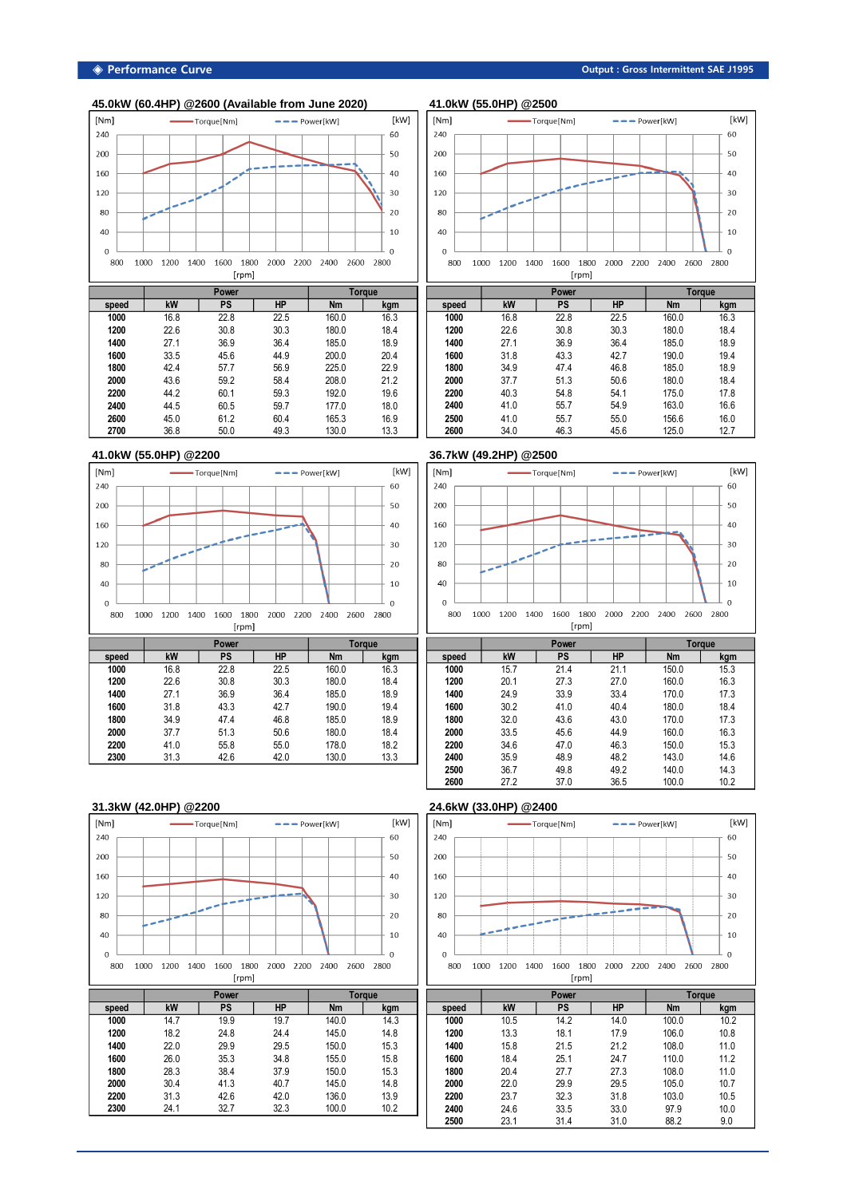|                 | 45.0kW (60.4HP) @2600 (Available from June 2020) |                               |               |                  |                 | 41.0kW (55.0HP) @2500 |            |
|-----------------|--------------------------------------------------|-------------------------------|---------------|------------------|-----------------|-----------------------|------------|
| [Nm]            | Torque [Nm]                                      | $\bullet$ $\bullet$ Power[kW] |               | [kW]             | [Nm]            |                       | Torque     |
| 240             |                                                  |                               |               | 60               | 240             |                       |            |
| 200             |                                                  |                               |               | 50               | 200             |                       |            |
| 160             |                                                  |                               |               | 40               | 160             |                       |            |
| 120             |                                                  |                               |               | 30               | 120             |                       |            |
| 80              |                                                  |                               |               | 20               | 80              |                       |            |
| 40              |                                                  |                               |               | 10               | 40              |                       |            |
| $\Omega$<br>800 | 1000<br>1200<br>1400<br>1600                     | 1800<br>2000<br>2200          | 2600<br>2400  | $\Omega$<br>2800 | $\Omega$<br>800 | 1000<br>1200          | 1400<br>16 |
|                 | [rpm]                                            |                               |               |                  |                 |                       |            |
|                 | Power                                            |                               | <b>Torque</b> |                  |                 |                       | P          |
| speed           | kW<br><b>PS</b>                                  | <b>HP</b>                     | <b>Nm</b>     | kam              | speed           | kW                    |            |

| speed | kW   | PS   | ΗP   | Nm    | kgm  |
|-------|------|------|------|-------|------|
| 1000  | 16.8 | 22.8 | 22.5 | 160.0 | 16.3 |
| 1200  | 22.6 | 30.8 | 30.3 | 180.0 | 18.4 |
| 1400  | 27.1 | 36.9 | 36.4 | 185.0 | 18.9 |
| 1600  | 33.5 | 45.6 | 44.9 | 200.0 | 20.4 |
| 1800  | 42.4 | 57.7 | 56.9 | 225.0 | 22.9 |
| 2000  | 43.6 | 59.2 | 58.4 | 208.0 | 21.2 |
| 2200  | 44.2 | 60.1 | 59.3 | 192.0 | 19.6 |
| 2400  | 44.5 | 60.5 | 59.7 | 177.0 | 18.0 |
| 2600  | 45.0 | 61.2 | 60.4 | 165.3 | 16.9 |
| 2700  | 36.8 | 50.0 | 49.3 | 130.0 | 13.3 |



|       |      | .    |           | .01949    |      |
|-------|------|------|-----------|-----------|------|
| speed | kW   | PS   | <b>HP</b> | <b>Nm</b> | kgm  |
| 1000  | 16.8 | 22.8 | 22.5      | 160.0     | 16.3 |
| 1200  | 22.6 | 30.8 | 30.3      | 180.0     | 18.4 |
| 1400  | 27.1 | 36.9 | 36.4      | 185.0     | 18.9 |
| 1600  | 31.8 | 43.3 | 42.7      | 190.0     | 19.4 |
| 1800  | 34.9 | 47.4 | 46.8      | 185.0     | 18.9 |
| 2000  | 37.7 | 51.3 | 50.6      | 180.0     | 18.4 |
| 2200  | 40.3 | 54.8 | 54.1      | 175.0     | 17.8 |
| 2400  | 41.0 | 55.7 | 54.9      | 163.0     | 16.6 |
| 2500  | 41.0 | 55.7 | 55.0      | 156.6     | 16.0 |
| 2600  | 34.0 | 46.3 | 45.6      | 125.0     | 12.7 |



 41.0 55.8 55.0 178.0 18.2 31.3 42.6 42.0 130.0 13.3



|       | Power |      |           |           | <b>Torque</b> |
|-------|-------|------|-----------|-----------|---------------|
| speed | kW    | PS   | <b>HP</b> | <b>Nm</b> | kgm           |
| 1000  | 15.7  | 21.4 | 21.1      | 150.0     | 15.3          |
| 1200  | 20.1  | 27.3 | 27.0      | 160.0     | 16.3          |
| 1400  | 24.9  | 33.9 | 33.4      | 170.0     | 17.3          |
| 1600  | 30.2  | 41.0 | 40.4      | 180.0     | 18.4          |
| 1800  | 32.0  | 43.6 | 43.0      | 170.0     | 17.3          |
| 2000  | 33.5  | 45.6 | 44.9      | 160.0     | 16.3          |
| 2200  | 34.6  | 47.0 | 46.3      | 150.0     | 15.3          |
| 2400  | 35.9  | 48.9 | 48.2      | 143.0     | 14.6          |
| 2500  | 36.7  | 49.8 | 49.2      | 140.0     | 14.3          |
| 2600  | 27.2  | 37.0 | 36.5      | 100.0     | 10.2          |

## **31.3kW (42.0HP) @2200 24.6kW (33.0HP) @2400**



 30.4 41.3 40.7 145.0 14.8 31.3 42.6 42.0 136.0 13.9 24.1 32.7 32.3 100.0 10.2



|       |      | Power |           |           | Toraue |
|-------|------|-------|-----------|-----------|--------|
| speed | kW   | PS    | <b>HP</b> | <b>Nm</b> | kgm    |
| 1000  | 10.5 | 14.2  | 14.0      | 100.0     | 10.2   |
| 1200  | 13.3 | 18.1  | 17.9      | 106.0     | 10.8   |
| 1400  | 15.8 | 21.5  | 21.2      | 108.0     | 11.0   |
| 1600  | 18.4 | 25.1  | 24.7      | 110.0     | 11.2   |
| 1800  | 20.4 | 27.7  | 27.3      | 108.0     | 11.0   |
| 2000  | 22.0 | 29.9  | 29.5      | 105.0     | 10.7   |
| 2200  | 23.7 | 32.3  | 31.8      | 103.0     | 10.5   |
| 2400  | 24.6 | 33.5  | 33.0      | 97.9      | 10.0   |
| 2500  | 23.1 | 31.4  | 31.0      | 88.2      | 9.0    |